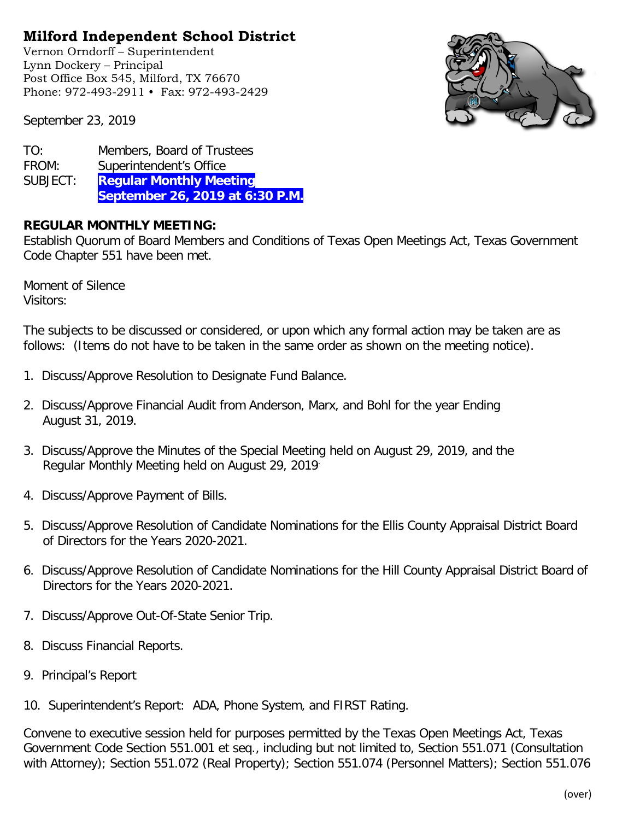## **Milford Independent School District**

Vernon Orndorff – Superintendent Lynn Dockery – Principal Post Office Box 545, Milford, TX 76670 Phone: 972-493-2911 • Fax: 972-493-2429



September 23, 2019

| TO:      | Members, Board of Trustees      |
|----------|---------------------------------|
| FROM:    | Superintendent's Office         |
| SUBJECT: | <b>Regular Monthly Meeting</b>  |
|          | September 26, 2019 at 6:30 P.M. |

## **REGULAR MONTHLY MEETING:**

Establish Quorum of Board Members and Conditions of Texas Open Meetings Act, Texas Government Code Chapter 551 have been met.

Moment of Silence Visitors:

The subjects to be discussed or considered, or upon which any formal action may be taken are as follows: (Items do not have to be taken in the same order as shown on the meeting notice).

- 1. Discuss/Approve Resolution to Designate Fund Balance.
- 2. Discuss/Approve Financial Audit from Anderson, Marx, and Bohl for the year Ending August 31, 2019.
- 3. Discuss/Approve the Minutes of the Special Meeting held on August 29, 2019, and the Regular Monthly Meeting held on August 29, 2019.
- 4. Discuss/Approve Payment of Bills.
- 5. Discuss/Approve Resolution of Candidate Nominations for the Ellis County Appraisal District Board of Directors for the Years 2020-2021.
- 6. Discuss/Approve Resolution of Candidate Nominations for the Hill County Appraisal District Board of Directors for the Years 2020-2021.
- 7. Discuss/Approve Out-Of-State Senior Trip.
- 8. Discuss Financial Reports.
- 9. Principal's Report
- 10. Superintendent's Report: ADA, Phone System, and FIRST Rating.

Convene to executive session held for purposes permitted by the Texas Open Meetings Act, Texas Government Code Section 551.001 et seq., including but not limited to, Section 551.071 (Consultation with Attorney); Section 551.072 (Real Property); Section 551.074 (Personnel Matters); Section 551.076